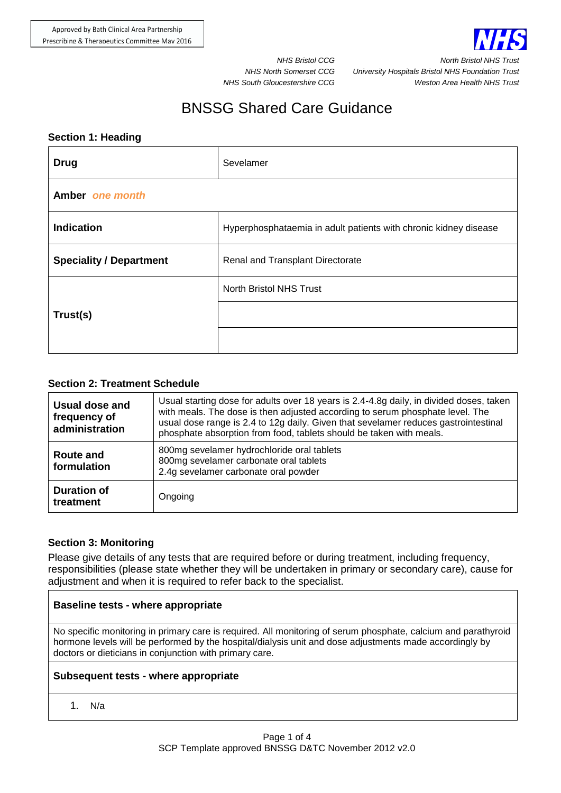

**NHS Bristol CCG North Bristol N** *NHS North Somerset CCG University Hospitals Bristol NHS Foundation Trust NHS South Gloucestershire CCG Weston Area Health NHS Trust*

# BNSSG Shared Care Guidance

#### **Section 1: Heading**

| <b>Drug</b>                    | Sevelamer                                                        |  |
|--------------------------------|------------------------------------------------------------------|--|
| Amber one month                |                                                                  |  |
| <b>Indication</b>              | Hyperphosphataemia in adult patients with chronic kidney disease |  |
| <b>Speciality / Department</b> | Renal and Transplant Directorate                                 |  |
| Trust(s)                       | North Bristol NHS Trust                                          |  |
|                                |                                                                  |  |
|                                |                                                                  |  |

## **Section 2: Treatment Schedule**

| Usual dose and<br>frequency of<br>administration | Usual starting dose for adults over 18 years is 2.4-4.8g daily, in divided doses, taken<br>with meals. The dose is then adjusted according to serum phosphate level. The<br>usual dose range is 2.4 to 12g daily. Given that sevelamer reduces gastrointestinal<br>phosphate absorption from food, tablets should be taken with meals. |
|--------------------------------------------------|----------------------------------------------------------------------------------------------------------------------------------------------------------------------------------------------------------------------------------------------------------------------------------------------------------------------------------------|
| <b>Route and</b><br>formulation                  | 800mg sevelamer hydrochloride oral tablets<br>800mg sevelamer carbonate oral tablets<br>2.4g sevelamer carbonate oral powder                                                                                                                                                                                                           |
| <b>Duration of</b><br>treatment                  | Ongoing                                                                                                                                                                                                                                                                                                                                |

## **Section 3: Monitoring**

Please give details of any tests that are required before or during treatment, including frequency, responsibilities (please state whether they will be undertaken in primary or secondary care), cause for adjustment and when it is required to refer back to the specialist.

## **Baseline tests - where appropriate**

No specific monitoring in primary care is required. All monitoring of serum phosphate, calcium and parathyroid hormone levels will be performed by the hospital/dialysis unit and dose adjustments made accordingly by doctors or dieticians in conjunction with primary care.

## **Subsequent tests - where appropriate**

1. N/a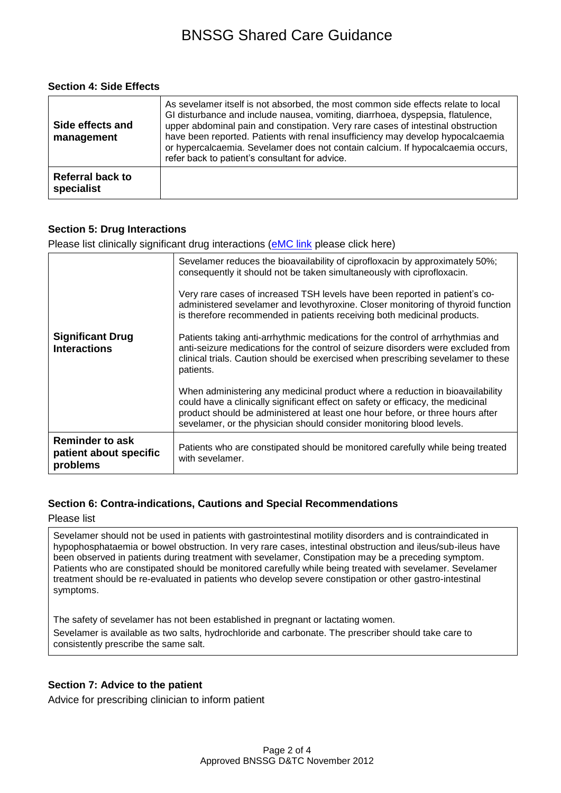#### **Section 4: Side Effects**

| Side effects and<br>management | As sevelamer itself is not absorbed, the most common side effects relate to local<br>GI disturbance and include nausea, vomiting, diarrhoea, dyspepsia, flatulence,<br>upper abdominal pain and constipation. Very rare cases of intestinal obstruction<br>have been reported. Patients with renal insufficiency may develop hypocalcaemia<br>or hypercalcaemia. Sevelamer does not contain calcium. If hypocalcaemia occurs,<br>refer back to patient's consultant for advice. |
|--------------------------------|---------------------------------------------------------------------------------------------------------------------------------------------------------------------------------------------------------------------------------------------------------------------------------------------------------------------------------------------------------------------------------------------------------------------------------------------------------------------------------|
| Referral back to<br>specialist |                                                                                                                                                                                                                                                                                                                                                                                                                                                                                 |

## **Section 5: Drug Interactions**

Please list clinically significant drug interactions (**eMC link** please click here)

|                                                              | Sevelamer reduces the bioavailability of ciprofloxacin by approximately 50%;<br>consequently it should not be taken simultaneously with ciprofloxacin.                                                                                                                                                                    |
|--------------------------------------------------------------|---------------------------------------------------------------------------------------------------------------------------------------------------------------------------------------------------------------------------------------------------------------------------------------------------------------------------|
|                                                              | Very rare cases of increased TSH levels have been reported in patient's co-<br>administered sevelamer and levothyroxine. Closer monitoring of thyroid function<br>is therefore recommended in patients receiving both medicinal products.                                                                                 |
| <b>Significant Drug</b><br><b>Interactions</b>               | Patients taking anti-arrhythmic medications for the control of arrhythmias and<br>anti-seizure medications for the control of seizure disorders were excluded from<br>clinical trials. Caution should be exercised when prescribing sevelamer to these<br>patients.                                                       |
|                                                              | When administering any medicinal product where a reduction in bioavailability<br>could have a clinically significant effect on safety or efficacy, the medicinal<br>product should be administered at least one hour before, or three hours after<br>sevelamer, or the physician should consider monitoring blood levels. |
| <b>Reminder to ask</b><br>patient about specific<br>problems | Patients who are constipated should be monitored carefully while being treated<br>with sevelamer.                                                                                                                                                                                                                         |

## **Section 6: Contra-indications, Cautions and Special Recommendations**

Please list

Sevelamer should not be used in patients with gastrointestinal motility disorders and is contraindicated in hypophosphataemia or bowel obstruction. In very rare cases, intestinal obstruction and ileus/sub-ileus have been observed in patients during treatment with sevelamer, Constipation may be a preceding symptom. Patients who are constipated should be monitored carefully while being treated with sevelamer. Sevelamer treatment should be re-evaluated in patients who develop severe constipation or other gastro-intestinal symptoms.

The safety of sevelamer has not been established in pregnant or lactating women.

Sevelamer is available as two salts, hydrochloride and carbonate. The prescriber should take care to consistently prescribe the same salt.

## **Section 7: Advice to the patient**

Advice for prescribing clinician to inform patient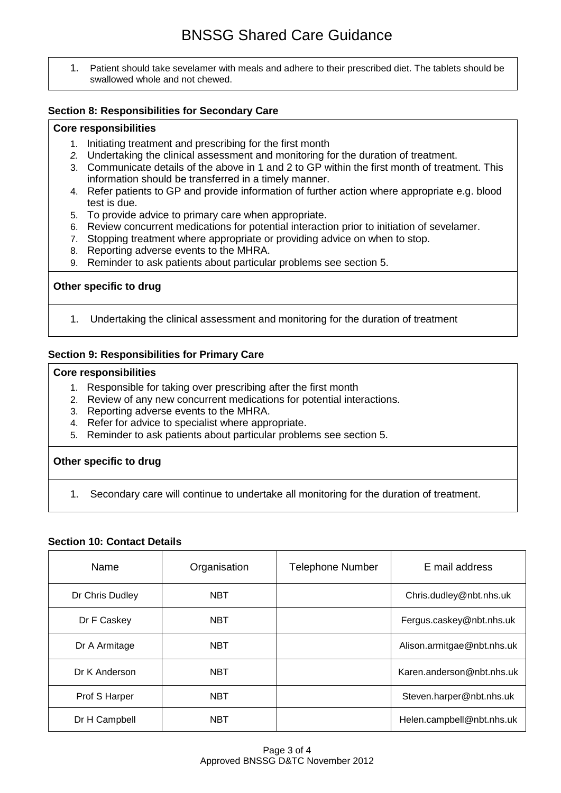1. Patient should take sevelamer with meals and adhere to their prescribed diet. The tablets should be swallowed whole and not chewed.

## **Section 8: Responsibilities for Secondary Care**

#### **Core responsibilities**

- 1. Initiating treatment and prescribing for the first month
- *2.* Undertaking the clinical assessment and monitoring for the duration of treatment.
- 3. Communicate details of the above in 1 and 2 to GP within the first month of treatment. This information should be transferred in a timely manner.
- 4. Refer patients to GP and provide information of further action where appropriate e.g. blood test is due.
- 5. To provide advice to primary care when appropriate.
- 6. Review concurrent medications for potential interaction prior to initiation of sevelamer.
- 7. Stopping treatment where appropriate or providing advice on when to stop.
- 8. Reporting adverse events to the MHRA.
- 9. Reminder to ask patients about particular problems see section 5.

#### **Other specific to drug**

1. Undertaking the clinical assessment and monitoring for the duration of treatment

#### **Section 9: Responsibilities for Primary Care**

#### **Core responsibilities**

- 1. Responsible for taking over prescribing after the first month
- 2. Review of any new concurrent medications for potential interactions.
- 3. Reporting adverse events to the MHRA.
- 4. Refer for advice to specialist where appropriate.
- 5. Reminder to ask patients about particular problems see section 5.

#### **Other specific to drug**

1. Secondary care will continue to undertake all monitoring for the duration of treatment.

## **Section 10: Contact Details**

| Name            | Organisation | <b>Telephone Number</b> | E mail address             |
|-----------------|--------------|-------------------------|----------------------------|
| Dr Chris Dudley | <b>NBT</b>   |                         | Chris.dudley@nbt.nhs.uk    |
| Dr F Caskey     | <b>NBT</b>   |                         | Fergus.caskey@nbt.nhs.uk   |
| Dr A Armitage   | <b>NBT</b>   |                         | Alison.armitgae@nbt.nhs.uk |
| Dr K Anderson   | <b>NBT</b>   |                         | Karen.anderson@nbt.nhs.uk  |
| Prof S Harper   | <b>NBT</b>   |                         | Steven.harper@nbt.nhs.uk   |
| Dr H Campbell   | <b>NBT</b>   |                         | Helen.campbell@nbt.nhs.uk  |